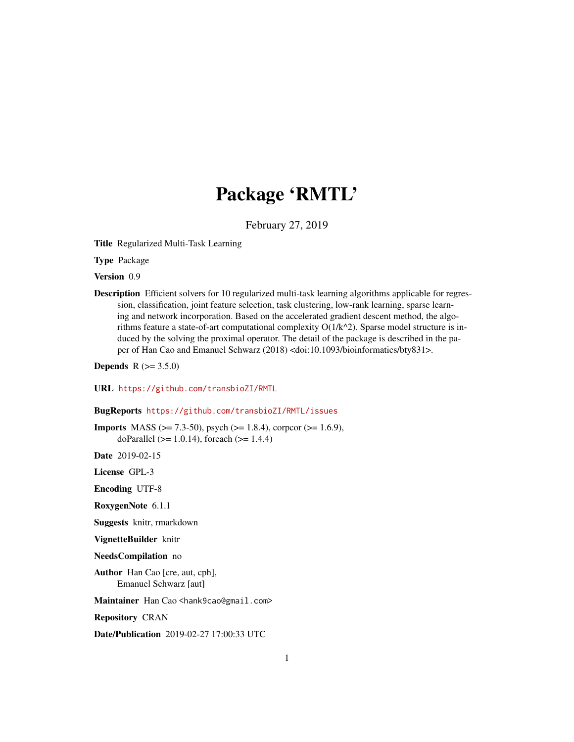## Package 'RMTL'

February 27, 2019

Title Regularized Multi-Task Learning

Type Package

Version 0.9

Description Efficient solvers for 10 regularized multi-task learning algorithms applicable for regression, classification, joint feature selection, task clustering, low-rank learning, sparse learning and network incorporation. Based on the accelerated gradient descent method, the algorithms feature a state-of-art computational complexity  $O(1/k<sup>2</sup>)$ . Sparse model structure is induced by the solving the proximal operator. The detail of the package is described in the paper of Han Cao and Emanuel Schwarz (2018) <doi:10.1093/bioinformatics/bty831>.

**Depends** R  $(>= 3.5.0)$ 

URL <https://github.com/transbioZI/RMTL>

BugReports <https://github.com/transbioZI/RMTL/issues>

**Imports** MASS ( $>= 7.3-50$ ), psych ( $>= 1.8.4$ ), corpcor ( $>= 1.6.9$ ), doParallel ( $> = 1.0.14$ ), foreach ( $> = 1.4.4$ )

Date 2019-02-15

License GPL-3

Encoding UTF-8

RoxygenNote 6.1.1

Suggests knitr, rmarkdown

VignetteBuilder knitr

NeedsCompilation no

Author Han Cao [cre, aut, cph], Emanuel Schwarz [aut]

Maintainer Han Cao <hank9cao@gmail.com>

Repository CRAN

Date/Publication 2019-02-27 17:00:33 UTC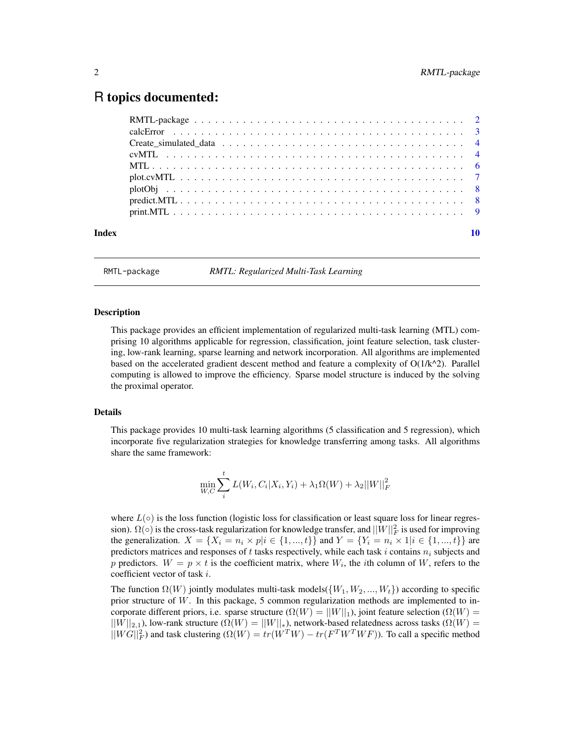### <span id="page-1-0"></span>R topics documented:

RMTL-package *RMTL: Regularized Multi-Task Learning*

#### Description

This package provides an efficient implementation of regularized multi-task learning (MTL) comprising 10 algorithms applicable for regression, classification, joint feature selection, task clustering, low-rank learning, sparse learning and network incorporation. All algorithms are implemented based on the accelerated gradient descent method and feature a complexity of  $O(1/k^2)$ . Parallel computing is allowed to improve the efficiency. Sparse model structure is induced by the solving the proximal operator.

#### Details

This package provides 10 multi-task learning algorithms (5 classification and 5 regression), which incorporate five regularization strategies for knowledge transferring among tasks. All algorithms share the same framework:

$$
\min_{W,C} \sum_{i}^{t} L(W_i, C_i | X_i, Y_i) + \lambda_1 \Omega(W) + \lambda_2 ||W||_F^2
$$

where  $L(\circ)$  is the loss function (logistic loss for classification or least square loss for linear regression).  $\Omega(\circ)$  is the cross-task regularization for knowledge transfer, and  $||W||_F^2$  is used for improving the generalization.  $X = \{X_i = n_i \times p | i \in \{1, ..., t\}\}\$  and  $Y = \{Y_i = n_i \times 1 | i \in \{1, ..., t\}\}\$  are predictors matrices and responses of t tasks respectively, while each task i contains  $n_i$  subjects and p predictors.  $W = p \times t$  is the coefficient matrix, where  $W_i$ , the *i*th column of W, refers to the coefficient vector of task i.

The function  $\Omega(W)$  jointly modulates multi-task models( $\{W_1, W_2, ..., W_t\}$ ) according to specific prior structure of W. In this package, 5 common regularization methods are implemented to incorporate different priors, i.e. sparse structure ( $\Omega(W) = ||W||_1$ ), joint feature selection ( $\Omega(W)$ )  $||W||_{2,1}$ ), low-rank structure ( $\Omega(W) = ||W||_*$ ), network-based relatedness across tasks ( $\Omega(W) =$  $||WG||_F^2$  and task clustering  $(\Omega(W) = tr(W^T W) - tr(F^T W^T W F))$ . To call a specific method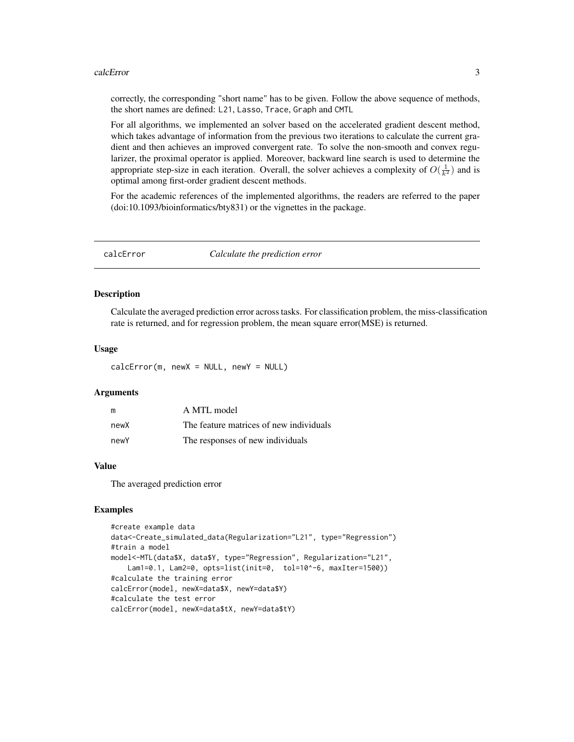#### <span id="page-2-0"></span>calcError 3

correctly, the corresponding "short name" has to be given. Follow the above sequence of methods, the short names are defined: L21, Lasso, Trace, Graph and CMTL

For all algorithms, we implemented an solver based on the accelerated gradient descent method, which takes advantage of information from the previous two iterations to calculate the current gradient and then achieves an improved convergent rate. To solve the non-smooth and convex regularizer, the proximal operator is applied. Moreover, backward line search is used to determine the appropriate step-size in each iteration. Overall, the solver achieves a complexity of  $O(\frac{1}{k^2})$  and is optimal among first-order gradient descent methods.

For the academic references of the implemented algorithms, the readers are referred to the paper (doi:10.1093/bioinformatics/bty831) or the vignettes in the package.

calcError *Calculate the prediction error*

#### Description

Calculate the averaged prediction error across tasks. For classification problem, the miss-classification rate is returned, and for regression problem, the mean square error(MSE) is returned.

#### Usage

 $calcError(m, newX = NULL, newY = NULL)$ 

#### Arguments

| m    | A MTL model                             |
|------|-----------------------------------------|
| newX | The feature matrices of new individuals |
| newY | The responses of new individuals        |

#### Value

The averaged prediction error

```
#create example data
data<-Create_simulated_data(Regularization="L21", type="Regression")
#train a model
model<-MTL(data$X, data$Y, type="Regression", Regularization="L21",
    Lam1=0.1, Lam2=0, opts=list(init=0, tol=10^-6, maxIter=1500))
#calculate the training error
calcError(model, newX=data$X, newY=data$Y)
#calculate the test error
calcError(model, newX=data$tX, newY=data$tY)
```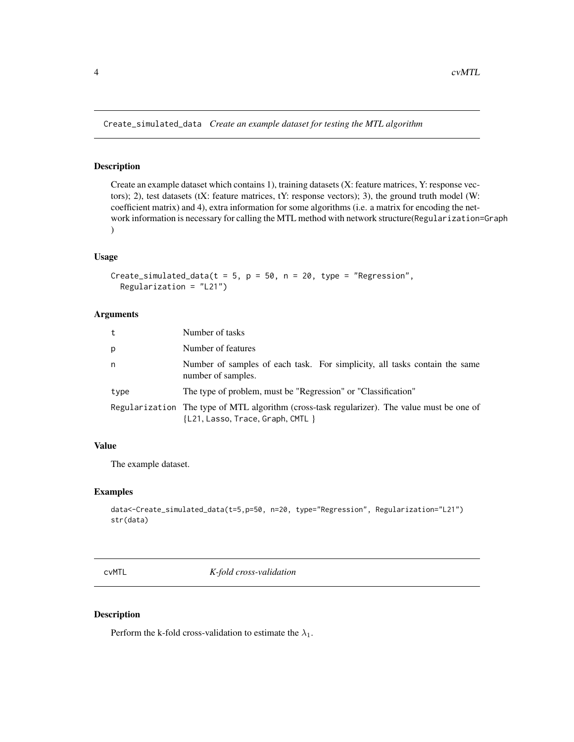<span id="page-3-0"></span>Create\_simulated\_data *Create an example dataset for testing the MTL algorithm*

#### Description

Create an example dataset which contains 1), training datasets (X: feature matrices, Y: response vectors); 2), test datasets (tX: feature matrices, tY: response vectors); 3), the ground truth model (W: coefficient matrix) and 4), extra information for some algorithms (i.e. a matrix for encoding the network information is necessary for calling the MTL method with network structure(Regularization=Graph )

#### Usage

```
Create_simulated_data(t = 5, p = 50, n = 20, type = "Regression",
  Regularization = "L21")
```
#### Arguments

| t    | Number of tasks                                                                                                                     |  |
|------|-------------------------------------------------------------------------------------------------------------------------------------|--|
| p    | Number of features                                                                                                                  |  |
| n    | Number of samples of each task. For simplicity, all tasks contain the same<br>number of samples.                                    |  |
| type | The type of problem, must be "Regression" or "Classification"                                                                       |  |
|      | Regularization The type of MTL algorithm (cross-task regularizer). The value must be one of<br>$\{L21, Lasso, Trace, Graph, CMTL\}$ |  |

#### Value

The example dataset.

#### Examples

```
data<-Create_simulated_data(t=5,p=50, n=20, type="Regression", Regularization="L21")
str(data)
```
cvMTL *K-fold cross-validation*

#### Description

Perform the k-fold cross-validation to estimate the  $\lambda_1$ .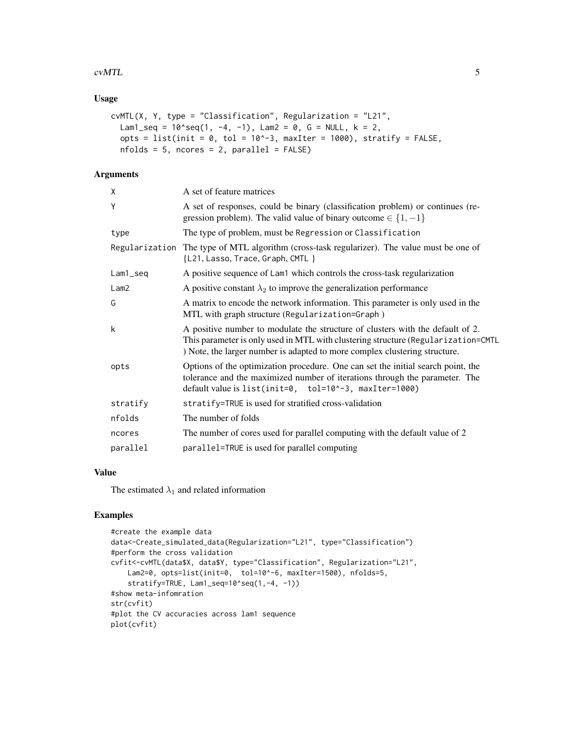#### $\sim$  cvMTL  $\sim$  5

#### Usage

```
cvMTL(X, Y, type = "Classification", Regularization = "L21",
 Lam1_seq = 10^seq(1, -4, -1), Lam2 = 0, G = NULL, k = 2,
 opts = list(init = 0, tol = 10^-3, maxIter = 1000), stratify = FALSE,
 nfolds = 5, ncores = 2, parallel = FALSE)
```
#### Arguments

| χ        | A set of feature matrices                                                                                                                                                                                                                         |
|----------|---------------------------------------------------------------------------------------------------------------------------------------------------------------------------------------------------------------------------------------------------|
| Ý        | A set of responses, could be binary (classification problem) or continues (re-<br>gression problem). The valid value of binary outcome $\in \{1, -1\}$                                                                                            |
| type     | The type of problem, must be Regression or Classification                                                                                                                                                                                         |
|          | Regularization The type of MTL algorithm (cross-task regularizer). The value must be one of<br>{L21, Lasso, Trace, Graph, CMTL }                                                                                                                  |
| Lam1_seq | A positive sequence of Lam1 which controls the cross-task regularization                                                                                                                                                                          |
| Lam2     | A positive constant $\lambda_2$ to improve the generalization performance                                                                                                                                                                         |
| Ġ        | A matrix to encode the network information. This parameter is only used in the<br>MTL with graph structure (Regularization=Graph)                                                                                                                 |
| k        | A positive number to modulate the structure of clusters with the default of 2.<br>This parameter is only used in MTL with clustering structure (Regularization=CMTL<br>) Note, the larger number is adapted to more complex clustering structure. |
| opts     | Options of the optimization procedure. One can set the initial search point, the<br>tolerance and the maximized number of iterations through the parameter. The<br>default value is list(init=0, tol=10^-3, maxIter=1000)                         |
| stratify | stratify=TRUE is used for stratified cross-validation                                                                                                                                                                                             |
| nfolds   | The number of folds                                                                                                                                                                                                                               |
| ncores   | The number of cores used for parallel computing with the default value of 2                                                                                                                                                                       |
| parallel | parallel=TRUE is used for parallel computing                                                                                                                                                                                                      |
|          |                                                                                                                                                                                                                                                   |

#### Value

The estimated  $\lambda_1$  and related information

```
#create the example data
data<-Create_simulated_data(Regularization="L21", type="Classification")
#perform the cross validation
cvfit<-cvMTL(data$X, data$Y, type="Classification", Regularization="L21",
   Lam2=0, opts=list(init=0, tol=10^-6, maxIter=1500), nfolds=5,
    stratify=TRUE, Lam1_seq=10^seq(1,-4, -1))
#show meta-infomration
str(cvfit)
#plot the CV accuracies across lam1 sequence
plot(cvfit)
```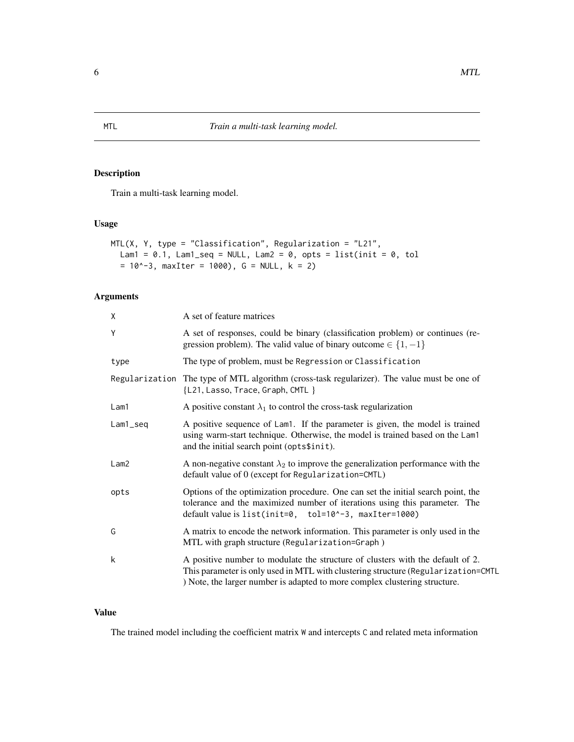#### Description

Train a multi-task learning model.

#### Usage

```
MTL(X, Y, type = "Classification", Regularization = "L21",
  Lam1 = 0.1, Lam1_seq = NULL, Lam2 = 0, opts = list(init = 0, tol
  = 10^{\circ}-3, maxIter = 1000), G = NULL, k = 2)
```
#### Arguments

| A set of feature matrices                                                                                                                                                                                                                         |
|---------------------------------------------------------------------------------------------------------------------------------------------------------------------------------------------------------------------------------------------------|
| A set of responses, could be binary (classification problem) or continues (re-<br>gression problem). The valid value of binary outcome $\in \{1, -1\}$                                                                                            |
| The type of problem, must be Regression or Classification                                                                                                                                                                                         |
| Regularization The type of MTL algorithm (cross-task regularizer). The value must be one of<br>{L21, Lasso, Trace, Graph, CMTL }                                                                                                                  |
| A positive constant $\lambda_1$ to control the cross-task regularization                                                                                                                                                                          |
| A positive sequence of Lam1. If the parameter is given, the model is trained<br>using warm-start technique. Otherwise, the model is trained based on the Lam1<br>and the initial search point (opts\$init).                                       |
| A non-negative constant $\lambda_2$ to improve the generalization performance with the<br>default value of 0 (except for Regularization=CMTL)                                                                                                     |
| Options of the optimization procedure. One can set the initial search point, the<br>tolerance and the maximized number of iterations using this parameter. The<br>default value is list(init=0, tol=10^-3, maxIter=1000)                          |
| A matrix to encode the network information. This parameter is only used in the<br>MTL with graph structure (Regularization=Graph)                                                                                                                 |
| A positive number to modulate the structure of clusters with the default of 2.<br>This parameter is only used in MTL with clustering structure (Regularization=CMTL<br>) Note, the larger number is adapted to more complex clustering structure. |
|                                                                                                                                                                                                                                                   |

#### Value

The trained model including the coefficient matrix W and intercepts C and related meta information

<span id="page-5-0"></span>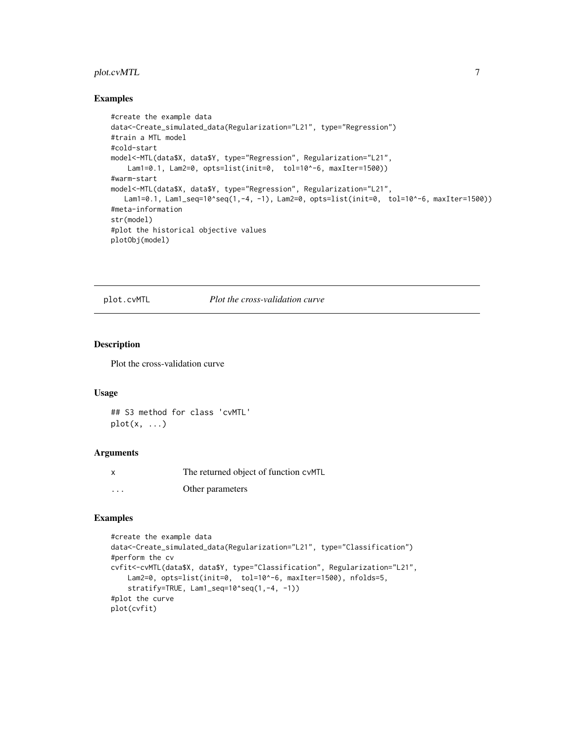#### <span id="page-6-0"></span>plot.cvMTL 7

#### Examples

```
#create the example data
data<-Create_simulated_data(Regularization="L21", type="Regression")
#train a MTL model
#cold-start
model<-MTL(data$X, data$Y, type="Regression", Regularization="L21",
    Lam1=0.1, Lam2=0, opts=list(init=0, tol=10^-6, maxIter=1500))
#warm-start
model<-MTL(data$X, data$Y, type="Regression", Regularization="L21",
   Lam1=0.1, Lam1_seq=10^seq(1,-4, -1), Lam2=0, opts=list(init=0, tol=10^-6, maxIter=1500))
#meta-information
str(model)
#plot the historical objective values
plotObj(model)
```
plot.cvMTL *Plot the cross-validation curve*

#### Description

Plot the cross-validation curve

#### Usage

```
## S3 method for class 'cvMTL'
plot(x, \ldots)
```
#### Arguments

| x        | The returned object of function cyMTL |
|----------|---------------------------------------|
| $\cdots$ | Other parameters                      |

```
#create the example data
data<-Create_simulated_data(Regularization="L21", type="Classification")
#perform the cv
cvfit<-cvMTL(data$X, data$Y, type="Classification", Regularization="L21",
   Lam2=0, opts=list(init=0, tol=10^-6, maxIter=1500), nfolds=5,
    stratify=TRUE, Lam1_seq=10^seq(1,-4, -1))
#plot the curve
plot(cvfit)
```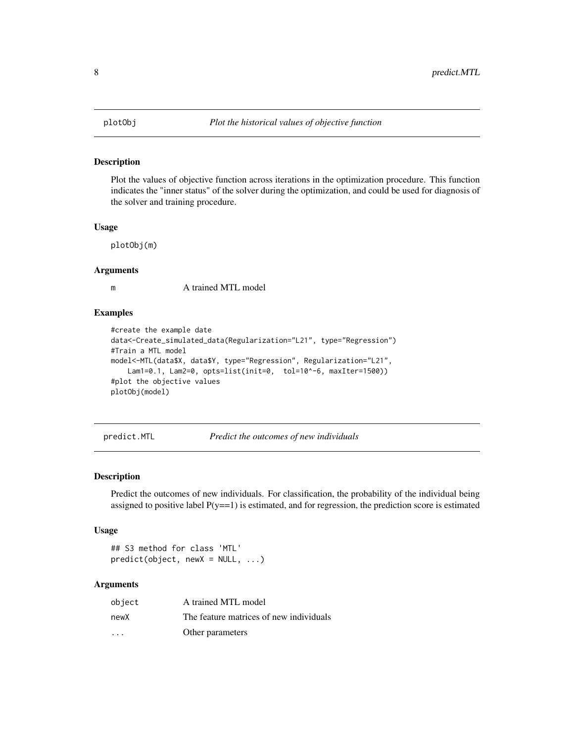<span id="page-7-0"></span>

#### Description

Plot the values of objective function across iterations in the optimization procedure. This function indicates the "inner status" of the solver during the optimization, and could be used for diagnosis of the solver and training procedure.

#### Usage

plotObj(m)

#### Arguments

m A trained MTL model

#### Examples

```
#create the example date
data<-Create_simulated_data(Regularization="L21", type="Regression")
#Train a MTL model
model<-MTL(data$X, data$Y, type="Regression", Regularization="L21",
    Lam1=0.1, Lam2=0, opts=list(init=0, tol=10^-6, maxIter=1500))
#plot the objective values
plotObj(model)
```
predict.MTL *Predict the outcomes of new individuals*

#### Description

Predict the outcomes of new individuals. For classification, the probability of the individual being assigned to positive label  $P(y=1)$  is estimated, and for regression, the prediction score is estimated

#### Usage

```
## S3 method for class 'MTL'
predict(object, newX = NULL, ...)
```
#### Arguments

| object                  | A trained MTL model                     |
|-------------------------|-----------------------------------------|
| newX                    | The feature matrices of new individuals |
| $\cdot$ $\cdot$ $\cdot$ | Other parameters                        |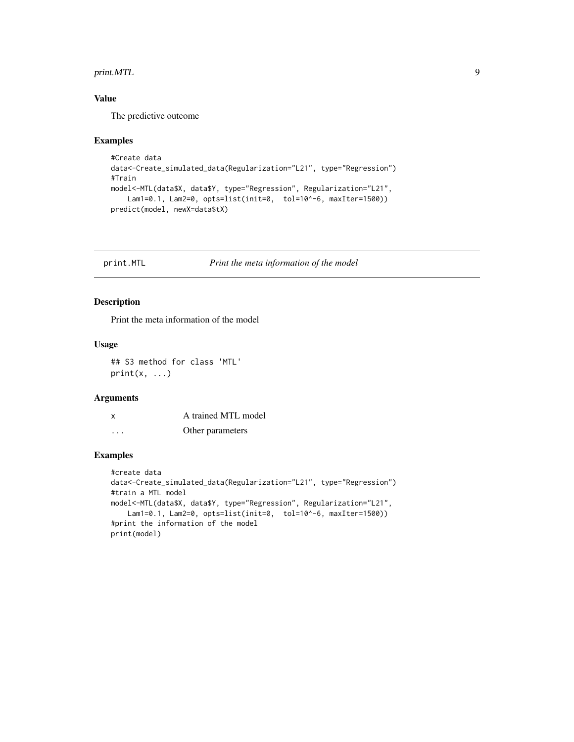#### <span id="page-8-0"></span>print. MTL 9

#### Value

The predictive outcome

#### Examples

```
#Create data
data<-Create_simulated_data(Regularization="L21", type="Regression")
#Train
model<-MTL(data$X, data$Y, type="Regression", Regularization="L21",
   Lam1=0.1, Lam2=0, opts=list(init=0, tol=10^-6, maxIter=1500))
predict(model, newX=data$tX)
```
print.MTL *Print the meta information of the model*

#### Description

Print the meta information of the model

#### Usage

```
## S3 method for class 'MTL'
print(x, \ldots)
```
#### Arguments

|          | A trained MTL model |
|----------|---------------------|
| $\cdots$ | Other parameters    |

```
#create data
data<-Create_simulated_data(Regularization="L21", type="Regression")
#train a MTL model
model<-MTL(data$X, data$Y, type="Regression", Regularization="L21",
   Lam1=0.1, Lam2=0, opts=list(init=0, tol=10^-6, maxIter=1500))
#print the information of the model
print(model)
```